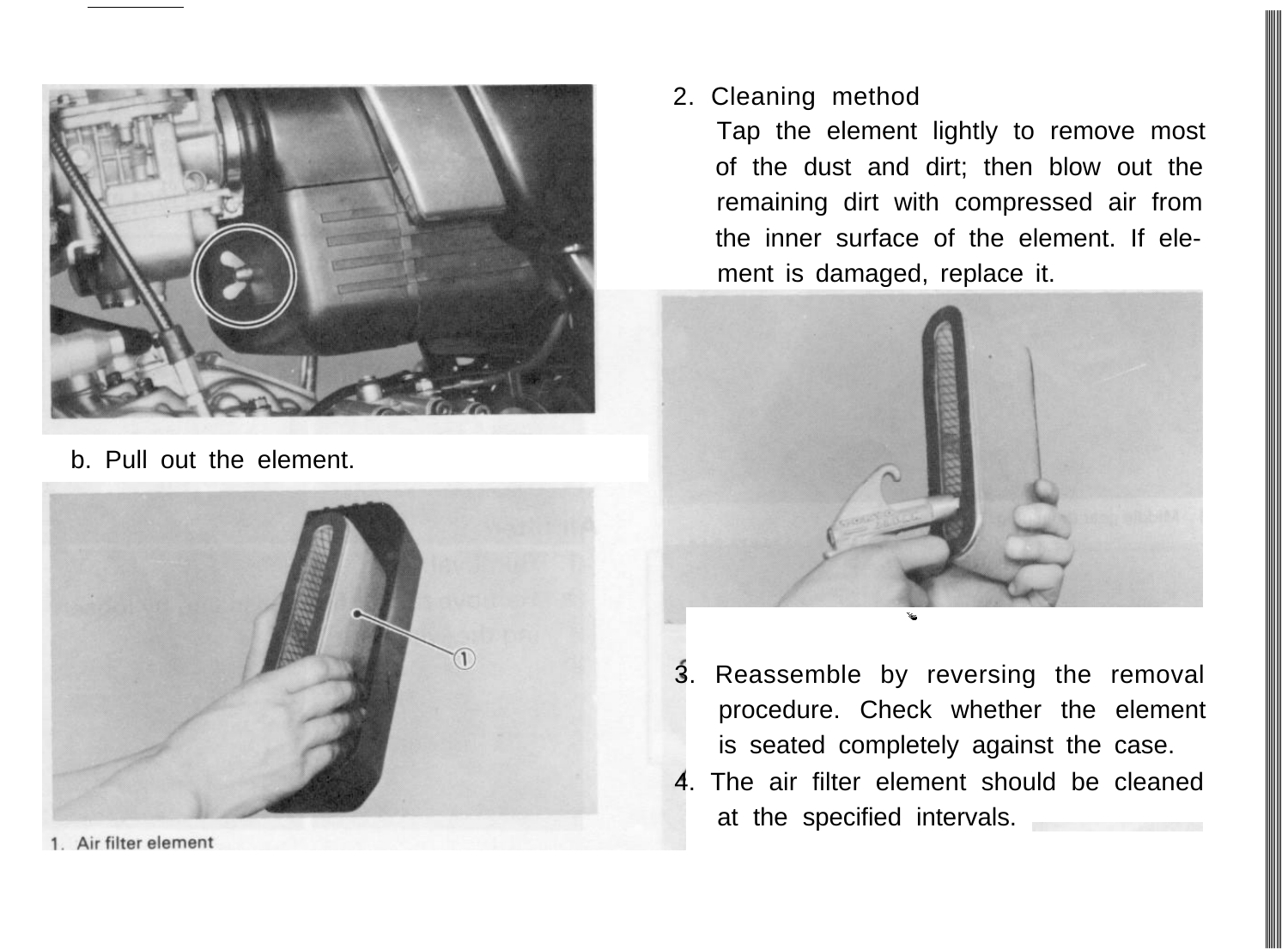

b. Pull out the element.



<sup>1.</sup> Air filter element

2. Cleaning method

Tap the element lightly to remove most of the dust and dirt; then blow out the remaining dirt with compressed air from the inner surface of the element. If element is damaged, replace it.



- 3. Reassemble by reversing the removal procedure. Check whether the element is seated completely against the case.
- 4. The air filter element should be cleaned at the specified intervals.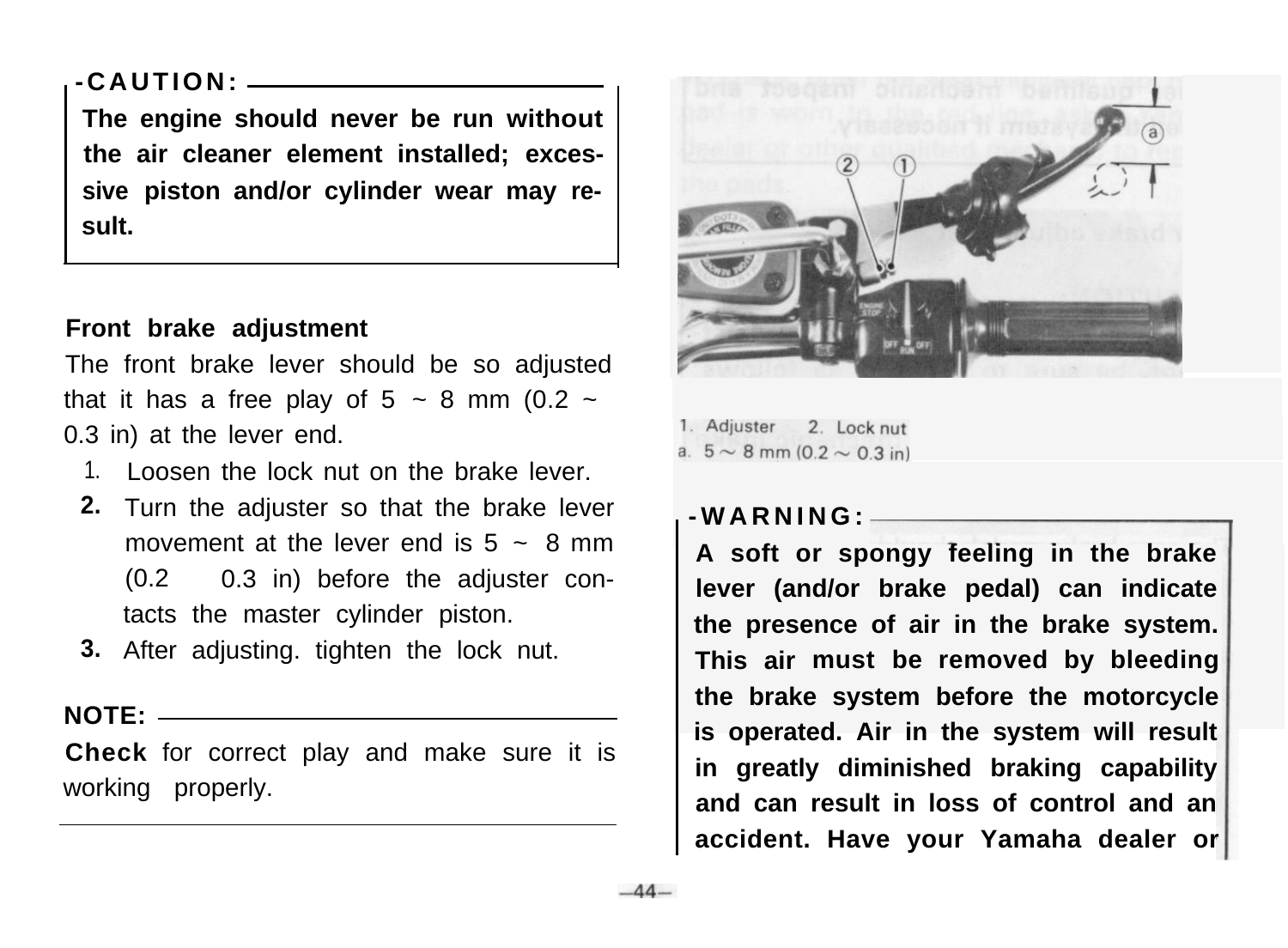# **-CAUTION:**

**The engine should never be run without the air cleaner element installed; excessive piston and/or cylinder wear may result.**

## **Front brake adjustment**

The front brake lever should be so adjusted that it has a free play of  $5 \sim 8$  mm (0.2  $\sim$ 0.3 in) at the lever end.

- 1. Loosen the lock nut on the brake lever.
- **2.** Turn the adjuster so that the brake lever movement at the lever end is  $5 \approx 8$  mm (0.2 ~ 0.3 in) before the adjuster contacts the master cylinder piston.
- **3.** After adjusting. tighten the lock nut.

#### **NOTE:**

**Check** for correct play and make sure it is working properly.



1. Adjuster 2 Lock put a.  $5 \sim 8$  mm (0.2  $\sim$  0.3 in)

### **-WARNING:**

**A soft or spongy feeling in the brake lever (and/or brake pedal) can indicate the presence of air in the brake system. This air must be removed by bleeding the brake system before the motorcycle is operated. Air in the system will result in greatly diminished braking capability and can result in loss of control and an accident. Have your Yamaha dealer or**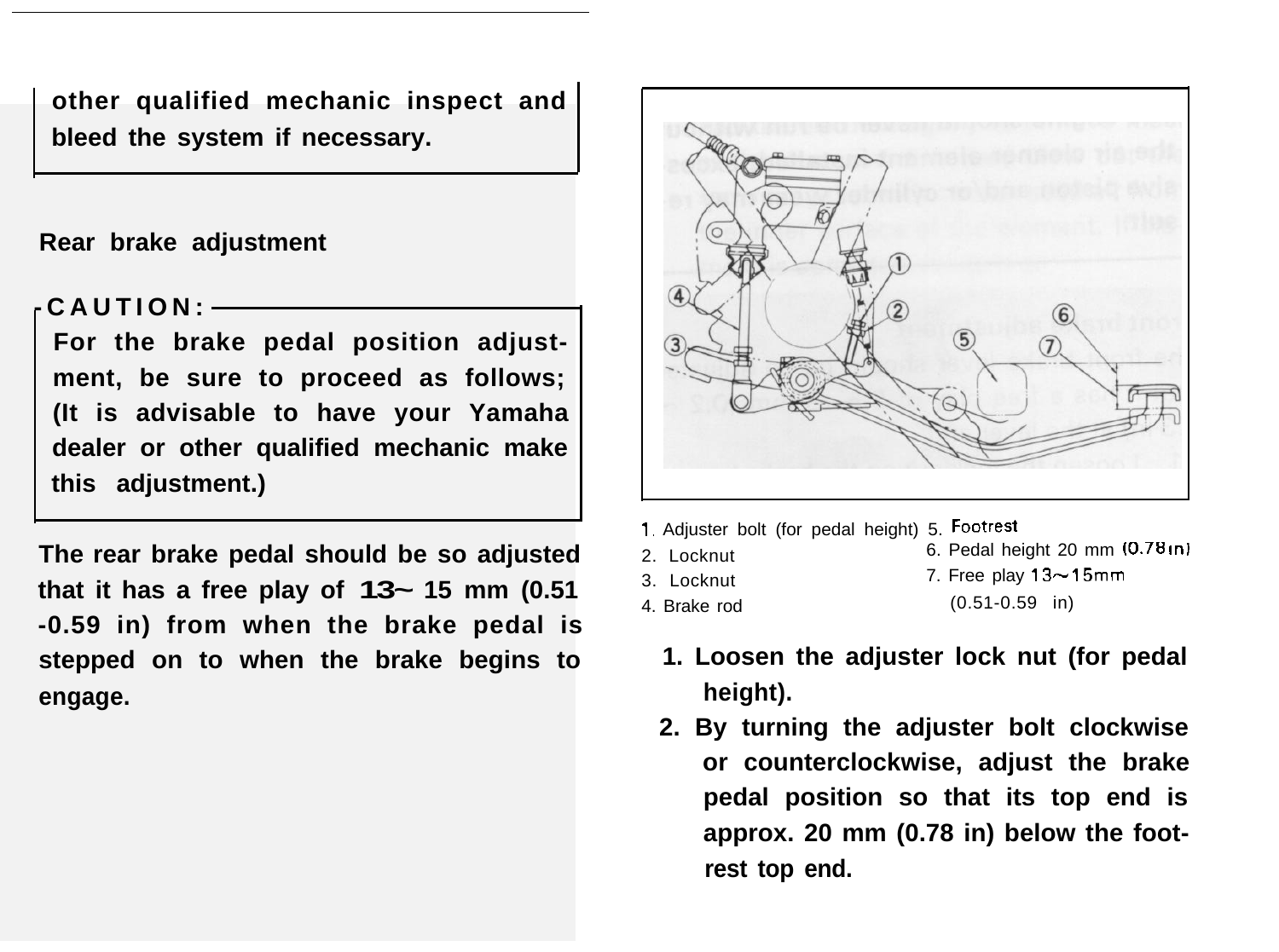**other qualified mechanic inspect and bleed the system if necessary.**

#### **Rear brake adjustment**

### **-CAUTION:**

**For the brake pedal position adjustment, be sure to proceed as follows; (It is advisable to have your Yamaha dealer or other qualified mechanic make this adjustment.)**

**The rear brake pedal should be so adjusted that it has a free play of 13~ 15 mm (0.51 -0.59 in) from when the brake pedal is stepped on to when the brake begins to engage.**



- I, Adjuster bolt (for pedal height) 5. Footrest  $2 \cdot$  Locknut 6. Pedal height 20 mm  $(0.78 \text{ m})$
- 
- 
- 
- $3 \text{ l}$  ocknut  $3 \text{ V}$  7. Free play  $13 \sim 15$ mm
	-
- 4. Brake rod (0.51-0.59 in)
	- **1. Loosen the adjuster lock nut (for pedal height).**
	- **2. By turning the adjuster bolt clockwise or counterclockwise, adjust the brake pedal position so that its top end is approx. 20 mm (0.78 in) below the footrest top end.**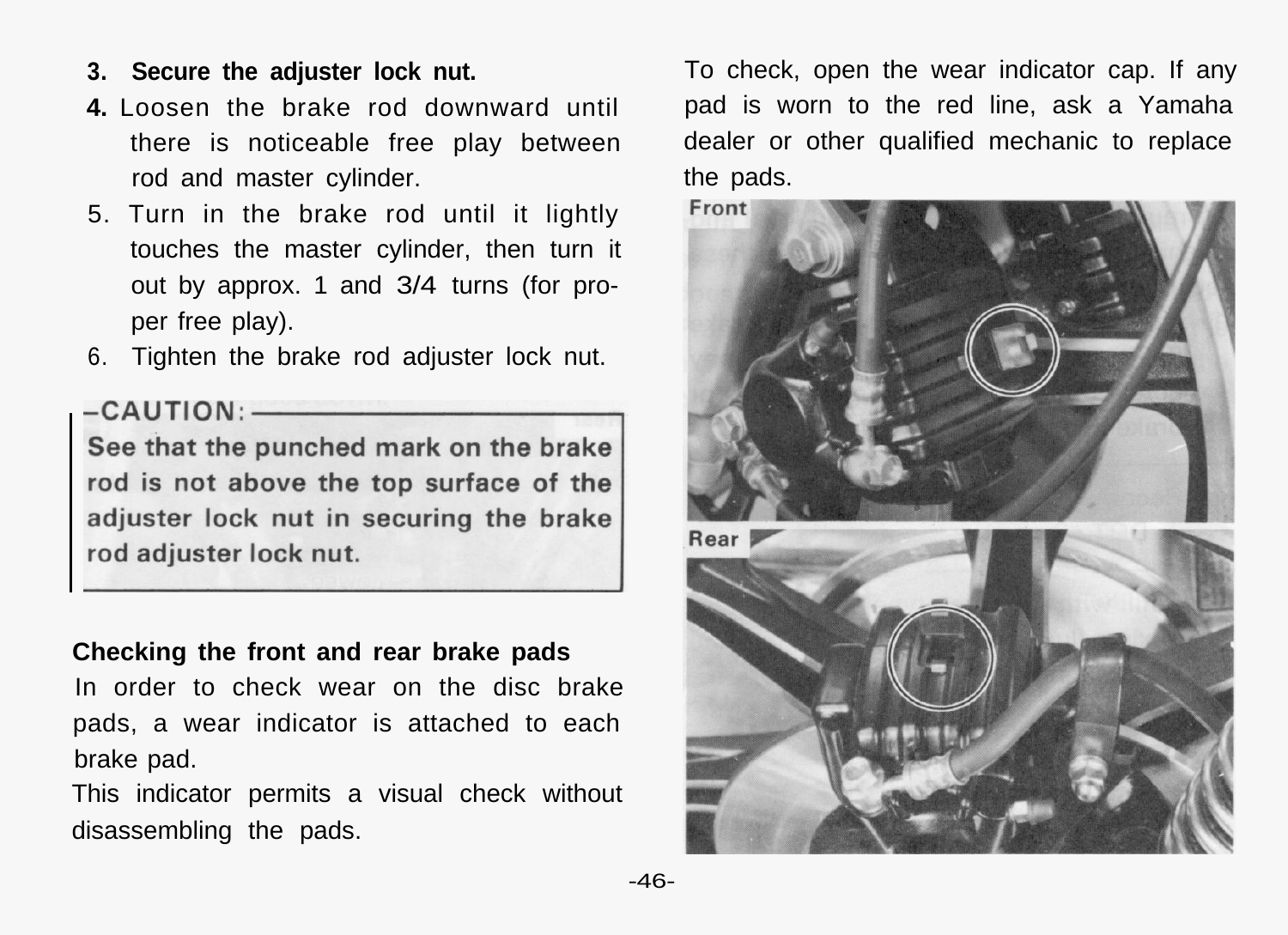- **3. Secure the adjuster lock nut.**
- **4.** Loosen the brake rod downward until there is noticeable free play between rod and master cylinder.
- 5. Turn in the brake rod until it lightly touches the master cylinder, then turn it out by approx. 1 and 3/4 turns (for proper free play).
- 6. Tighten the brake rod adjuster lock nut.

See that the punched mark on the brake rod is not above the top surface of the adjuster lock nut in securing the brake rod adjuster lock nut.

### **Checking the front and rear brake pads**

In order to check wear on the disc brake pads, a wear indicator is attached to each brake pad.

This indicator permits a visual check without disassembling the pads.

To check, open the wear indicator cap. If any pad is worn to the red line, ask a Yamaha dealer or other qualified mechanic to replace the pads.

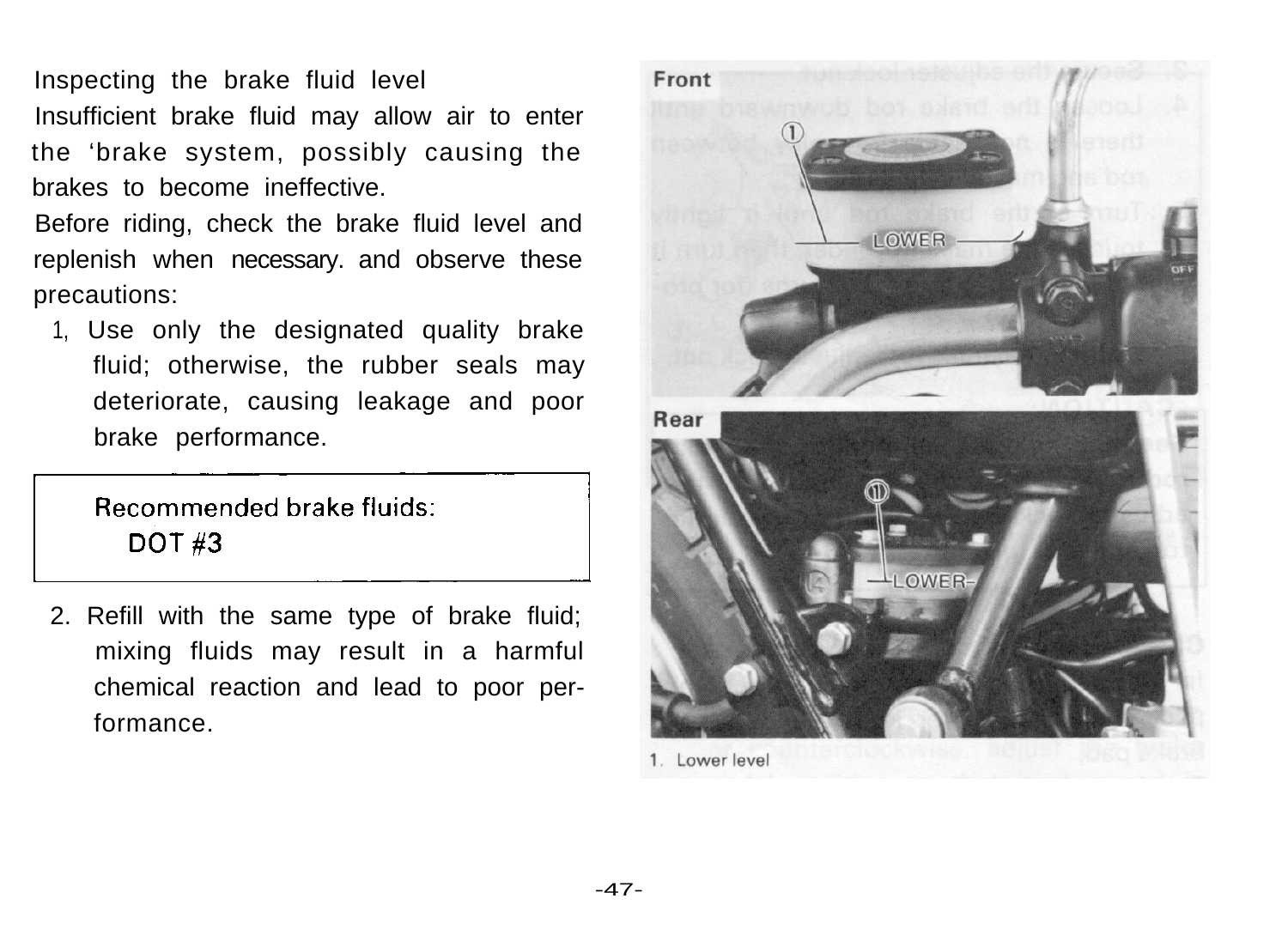Inspecting the brake fluid level Insufficient brake fluid may allow air to enter the 'brake system, possibly causing the brakes to become ineffective. Inspecting the brake fluid level<br>
Insufficient brake fluid may allow air to enter<br>
the 'brake system, possibly causing the<br>
brakes to become ineffective.<br>
Before riding, check the brake fluid level and<br>
replenish when nece

Before riding, check the brake fluid level and replenish when necessary. and observe these precautions:

1, Use only the designated quality brake fluid; otherwise, the rubber seals may deteriorate, causing leakage and poor brake performance.

2. Refill with the same type of brake fluid; mixing fluids may result in a harmful chemical reaction and lead to poor performance.



1. Lower level